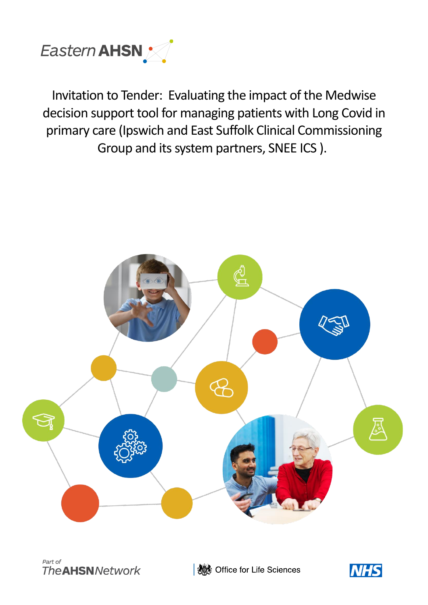

Invitation to Tender: Evaluating the impact of the Medwise decision support tool for managing patients with Long Covid in primary care (Ipswich and East Suffolk Clinical Commissioning Group and its system partners, SNEE ICS ).





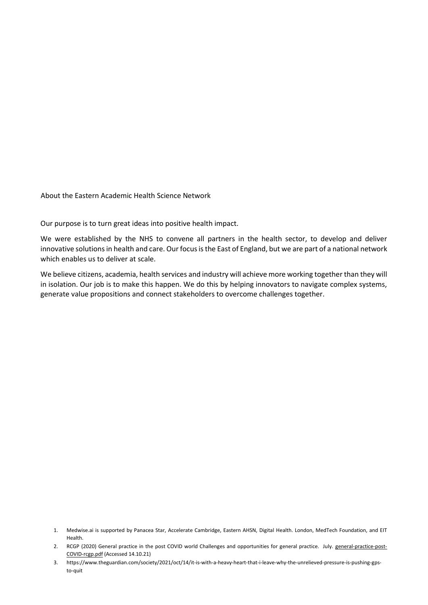About the Eastern Academic Health Science Network

Our purpose is to turn great ideas into positive health impact.

We were established by the NHS to convene all partners in the health sector, to develop and deliver innovative solutions in health and care. Our focus is the East of England, but we are part of a national network which enables us to deliver at scale.

We believe citizens, academia, health services and industry will achieve more working together than they will in isolation. Our job is to make this happen. We do this by helping innovators to navigate complex systems, generate value propositions and connect stakeholders to overcome challenges together.

<sup>1.</sup> Medwise.ai is supported by Panacea Star, Accelerate Cambridge, Eastern AHSN, Digital Health. London, MedTech Foundation, and EIT Health.

<sup>2.</sup> RCGP (2020) General practice in the post COVID world Challenges and opportunities for general practice. July. [general-practice-post-](file:///C:/Users/CarolynJacksonEaster/OneDrive%20-%20Eastern%20Academic%20Health%20Science%20Network/Documents/general-practice-post-covid-rcgp.pdf)[COVID-rcgp.pdf](file:///C:/Users/CarolynJacksonEaster/OneDrive%20-%20Eastern%20Academic%20Health%20Science%20Network/Documents/general-practice-post-covid-rcgp.pdf) (Accessed 14.10.21)

<sup>3.</sup> https://www.theguardian.com/society/2021/oct/14/it-is-with-a-heavy-heart-that-i-leave-why-the-unrelieved-pressure-is-pushing-gpsto-quit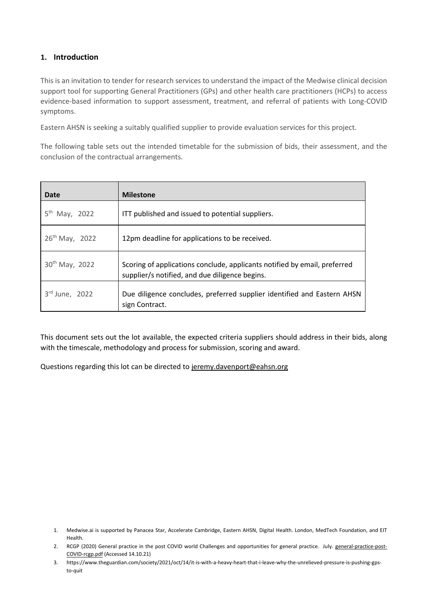### **1. Introduction**

This is an invitation to tender for research services to understand the impact of the Medwise clinical decision support tool for supporting General Practitioners (GPs) and other health care practitioners (HCPs) to access evidence-based information to support assessment, treatment, and referral of patients with Long-COVID symptoms.

Eastern AHSN is seeking a suitably qualified supplier to provide evaluation services for this project.

The following table sets out the intended timetable for the submission of bids, their assessment, and the conclusion of the contractual arrangements.

| Date                         | <b>Milestone</b>                                                                                                            |
|------------------------------|-----------------------------------------------------------------------------------------------------------------------------|
| 5 <sup>th</sup><br>May, 2022 | ITT published and issued to potential suppliers.                                                                            |
| $26^{th}$ May, 2022          | 12pm deadline for applications to be received.                                                                              |
| 30 <sup>th</sup> May, 2022   | Scoring of applications conclude, applicants notified by email, preferred<br>supplier/s notified, and due diligence begins. |
| $3rd$ June, 2022             | Due diligence concludes, preferred supplier identified and Eastern AHSN<br>sign Contract.                                   |

This document sets out the lot available, the expected criteria suppliers should address in their bids, along with the timescale, methodology and process for submission, scoring and award.

Questions regarding this lot can be directed to jeremy.davenport@eahsn.org

<sup>1.</sup> Medwise.ai is supported by Panacea Star, Accelerate Cambridge, Eastern AHSN, Digital Health. London, MedTech Foundation, and EIT Health.

<sup>2.</sup> RCGP (2020) General practice in the post COVID world Challenges and opportunities for general practice. July. [general-practice-post-](file:///C:/Users/CarolynJacksonEaster/OneDrive%20-%20Eastern%20Academic%20Health%20Science%20Network/Documents/general-practice-post-covid-rcgp.pdf)[COVID-rcgp.pdf](file:///C:/Users/CarolynJacksonEaster/OneDrive%20-%20Eastern%20Academic%20Health%20Science%20Network/Documents/general-practice-post-covid-rcgp.pdf) (Accessed 14.10.21)

<sup>3.</sup> https://www.theguardian.com/society/2021/oct/14/it-is-with-a-heavy-heart-that-i-leave-why-the-unrelieved-pressure-is-pushing-gpsto-quit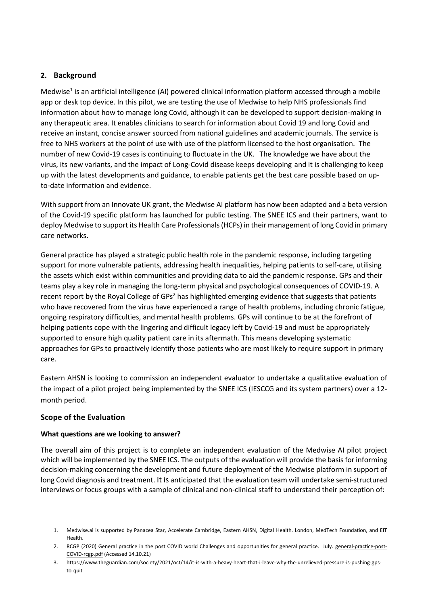### **2. Background**

Medwise<sup>1</sup> is an artificial intelligence (AI) powered clinical information platform accessed through a mobile app or desk top device. In this pilot, we are testing the use of Medwise to help NHS professionals find information about how to manage long Covid, although it can be developed to support decision-making in any therapeutic area. It enables clinicians to search for information about Covid 19 and long Covid and receive an instant, concise answer sourced from national guidelines and academic journals. The service is free to NHS workers at the point of use with use of the platform licensed to the host organisation. The number of new Covid-19 cases is continuing to fluctuate in the UK. [The knowledge we have about the](https://medium.com/medwiseai/medwise-ai-response-to-covid-19-cdb402186047)  virus, its new variants, [and the impact of Long-Covid](https://medium.com/medwiseai/medwise-ai-response-to-covid-19-cdb402186047) disease keeps developing and it is challenging to keep up with the latest developments and guidance, to enable patients get the best care possible based on upto-date information and evidence.

With support from an Innovate UK grant, the Medwise AI platform has now been adapted and a beta version of the Covid-19 specific platform has launched for public testing. The SNEE ICS and their partners, want to deploy Medwise to support its Health Care Professionals (HCPs) in their management of long Covid in primary care networks.

General practice has played a strategic public health role in the pandemic response, including targeting support for more vulnerable patients, addressing health inequalities, helping patients to self-care, utilising the assets which exist within communities and providing data to aid the pandemic response. GPs and their teams play a key role in managing the long-term physical and psychological consequences of COVID-19. A recent report by the Royal College of  $GPs<sup>2</sup>$  has highlighted emerging evidence that suggests that patients who have recovered from the virus have experienced a range of health problems, including chronic fatigue, ongoing respiratory difficulties, and mental health problems. GPs will continue to be at the forefront of helping patients cope with the lingering and difficult legacy left by Covid-19 and must be appropriately supported to ensure high quality patient care in its aftermath. This means developing systematic approaches for GPs to proactively identify those patients who are most likely to require support in primary care.

Eastern AHSN is looking to commission an independent evaluator to undertake a qualitative evaluation of the impact of a pilot project being implemented by the SNEE ICS (IESCCG and its system partners) over a 12 month period.

#### **Scope of the Evaluation**

#### **What questions are we looking to answer?**

The overall aim of this project is to complete an independent evaluation of the Medwise AI pilot project which will be implemented by the SNEE ICS. The outputs of the evaluation will provide the basis for informing decision-making concerning the development and future deployment of the Medwise platform in support of long Covid diagnosis and treatment. It is anticipated that the evaluation team will undertake semi-structured interviews or focus groups with a sample of clinical and non-clinical staff to understand their perception of:

<sup>1.</sup> Medwise.ai is supported by Panacea Star, Accelerate Cambridge, Eastern AHSN, Digital Health. London, MedTech Foundation, and EIT Health.

<sup>2.</sup> RCGP (2020) General practice in the post COVID world Challenges and opportunities for general practice. July. [general-practice-post-](file:///C:/Users/CarolynJacksonEaster/OneDrive%20-%20Eastern%20Academic%20Health%20Science%20Network/Documents/general-practice-post-covid-rcgp.pdf)[COVID-rcgp.pdf](file:///C:/Users/CarolynJacksonEaster/OneDrive%20-%20Eastern%20Academic%20Health%20Science%20Network/Documents/general-practice-post-covid-rcgp.pdf) (Accessed 14.10.21)

<sup>3.</sup> https://www.theguardian.com/society/2021/oct/14/it-is-with-a-heavy-heart-that-i-leave-why-the-unrelieved-pressure-is-pushing-gpsto-quit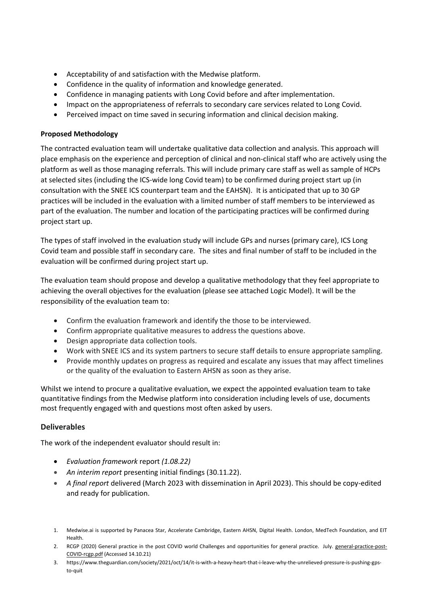- Acceptability of and satisfaction with the Medwise platform.
- Confidence in the quality of information and knowledge generated.
- Confidence in managing patients with Long Covid before and after implementation.
- Impact on the appropriateness of referrals to secondary care services related to Long Covid.
- Perceived impact on time saved in securing information and clinical decision making.

#### **Proposed Methodology**

The contracted evaluation team will undertake qualitative data collection and analysis. This approach will place emphasis on the experience and perception of clinical and non-clinical staff who are actively using the platform as well as those managing referrals. This will include primary care staff as well as sample of HCPs at selected sites (including the ICS-wide long Covid team) to be confirmed during project start up (in consultation with the SNEE ICS counterpart team and the EAHSN). It is anticipated that up to 30 GP practices will be included in the evaluation with a limited number of staff members to be interviewed as part of the evaluation. The number and location of the participating practices will be confirmed during project start up.

The types of staff involved in the evaluation study will include GPs and nurses (primary care), ICS Long Covid team and possible staff in secondary care. The sites and final number of staff to be included in the evaluation will be confirmed during project start up.

The evaluation team should propose and develop a qualitative methodology that they feel appropriate to achieving the overall objectives for the evaluation (please see attached Logic Model). It will be the responsibility of the evaluation team to:

- Confirm the evaluation framework and identify the those to be interviewed.
- Confirm appropriate qualitative measures to address the questions above.
- Design appropriate data collection tools.
- Work with SNEE ICS and its system partners to secure staff details to ensure appropriate sampling.
- Provide monthly updates on progress as required and escalate any issues that may affect timelines or the quality of the evaluation to Eastern AHSN as soon as they arise.

Whilst we intend to procure a qualitative evaluation, we expect the appointed evaluation team to take quantitative findings from the Medwise platform into consideration including levels of use, documents most frequently engaged with and questions most often asked by users.

#### **Deliverables**

The work of the independent evaluator should result in:

- *Evaluation framework* report *(1.08.22)*
- *An interim report* presenting initial findings (30.11.22).
- *A final report* delivered (March 2023 with dissemination in April 2023). This should be copy-edited and ready for publication.

- 2. RCGP (2020) General practice in the post COVID world Challenges and opportunities for general practice. July. [general-practice-post-](file:///C:/Users/CarolynJacksonEaster/OneDrive%20-%20Eastern%20Academic%20Health%20Science%20Network/Documents/general-practice-post-covid-rcgp.pdf)[COVID-rcgp.pdf](file:///C:/Users/CarolynJacksonEaster/OneDrive%20-%20Eastern%20Academic%20Health%20Science%20Network/Documents/general-practice-post-covid-rcgp.pdf) (Accessed 14.10.21)
- 3. https://www.theguardian.com/society/2021/oct/14/it-is-with-a-heavy-heart-that-i-leave-why-the-unrelieved-pressure-is-pushing-gpsto-quit

<sup>1.</sup> Medwise.ai is supported by Panacea Star, Accelerate Cambridge, Eastern AHSN, Digital Health. London, MedTech Foundation, and EIT Health.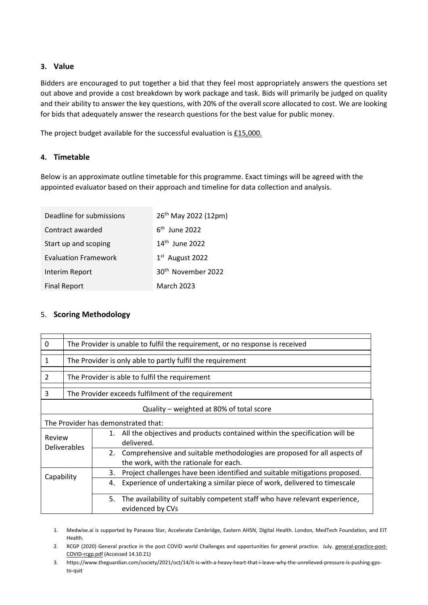### **3. Value**

Bidders are encouraged to put together a bid that they feel most appropriately answers the questions set out above and provide a cost breakdown by work package and task. Bids will primarily be judged on quality and their ability to answer the key questions, with 20% of the overall score allocated to cost. We are looking for bids that adequately answer the research questions for the best value for public money.

The project budget available for the successful evaluation is £15,000.

# **4. Timetable**

Below is an approximate outline timetable for this programme. Exact timings will be agreed with the appointed evaluator based on their approach and timeline for data collection and analysis.

| Deadline for submissions    | 26 <sup>th</sup> May 2022 (12pm) |  |
|-----------------------------|----------------------------------|--|
| Contract awarded            | $6th$ June 2022                  |  |
| Start up and scoping        | 14 <sup>th</sup> June 2022       |  |
| <b>Evaluation Framework</b> | $1st$ August 2022                |  |
| Interim Report              | 30 <sup>th</sup> November 2022   |  |
| <b>Final Report</b>         | <b>March 2023</b>                |  |

# 5. **Scoring Methodology**

| $\Omega$                                 | The Provider is unable to fulfil the requirement, or no response is received                |                                                                                                                          |  |
|------------------------------------------|---------------------------------------------------------------------------------------------|--------------------------------------------------------------------------------------------------------------------------|--|
| $\mathbf{1}$                             | The Provider is only able to partly fulfil the requirement                                  |                                                                                                                          |  |
| $\overline{2}$                           | The Provider is able to fulfil the requirement                                              |                                                                                                                          |  |
| 3                                        | The Provider exceeds fulfilment of the requirement                                          |                                                                                                                          |  |
| Quality - weighted at 80% of total score |                                                                                             |                                                                                                                          |  |
| The Provider has demonstrated that:      |                                                                                             |                                                                                                                          |  |
| Review<br><b>Deliverables</b>            | 1. All the objectives and products contained within the specification will be<br>delivered. |                                                                                                                          |  |
|                                          |                                                                                             | Comprehensive and suitable methodologies are proposed for all aspects of<br>2.<br>the work, with the rationale for each. |  |
| Capability                               | Project challenges have been identified and suitable mitigations proposed.<br>3.            |                                                                                                                          |  |
|                                          | Experience of undertaking a similar piece of work, delivered to timescale<br>4.             |                                                                                                                          |  |
|                                          |                                                                                             | The availability of suitably competent staff who have relevant experience,<br>5.<br>evidenced by CVs                     |  |

1. Medwise.ai is supported by Panacea Star, Accelerate Cambridge, Eastern AHSN, Digital Health. London, MedTech Foundation, and EIT Health.

2. RCGP (2020) General practice in the post COVID world Challenges and opportunities for general practice. July. [general-practice-post-](file:///C:/Users/CarolynJacksonEaster/OneDrive%20-%20Eastern%20Academic%20Health%20Science%20Network/Documents/general-practice-post-covid-rcgp.pdf)[COVID-rcgp.pdf](file:///C:/Users/CarolynJacksonEaster/OneDrive%20-%20Eastern%20Academic%20Health%20Science%20Network/Documents/general-practice-post-covid-rcgp.pdf) (Accessed 14.10.21)

3. https://www.theguardian.com/society/2021/oct/14/it-is-with-a-heavy-heart-that-i-leave-why-the-unrelieved-pressure-is-pushing-gpsto-quit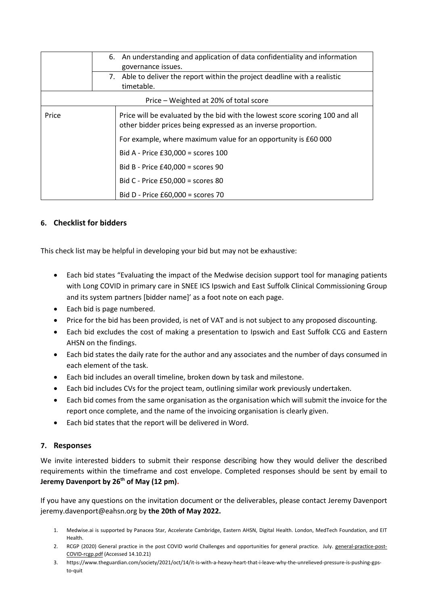|                                        |    | 6. An understanding and application of data confidentiality and information<br>governance issues.                                             |  |  |
|----------------------------------------|----|-----------------------------------------------------------------------------------------------------------------------------------------------|--|--|
|                                        | 7. | Able to deliver the report within the project deadline with a realistic<br>timetable.                                                         |  |  |
| Price – Weighted at 20% of total score |    |                                                                                                                                               |  |  |
| Price                                  |    | Price will be evaluated by the bid with the lowest score scoring 100 and all<br>other bidder prices being expressed as an inverse proportion. |  |  |
|                                        |    | For example, where maximum value for an opportunity is £60 000                                                                                |  |  |
|                                        |    | Bid A - Price $£30,000 =$ scores 100                                                                                                          |  |  |
|                                        |    | Bid B - Price $£40,000 =$ scores 90                                                                                                           |  |  |
|                                        |    | Bid C - Price £50,000 = scores 80                                                                                                             |  |  |
|                                        |    | Bid D - Price £60,000 = scores 70                                                                                                             |  |  |

# **6. Checklist for bidders**

This check list may be helpful in developing your bid but may not be exhaustive:

- Each bid states "Evaluating the impact of the Medwise decision support tool for managing patients with Long COVID in primary care in SNEE ICS Ipswich and East Suffolk Clinical Commissioning Group and its system partners [bidder name]' as a foot note on each page.
- Each bid is page numbered.
- Price for the bid has been provided, is net of VAT and is not subject to any proposed discounting.
- Each bid excludes the cost of making a presentation to Ipswich and East Suffolk CCG and Eastern AHSN on the findings.
- Each bid states the daily rate for the author and any associates and the number of days consumed in each element of the task.
- Each bid includes an overall timeline, broken down by task and milestone.
- Each bid includes CVs for the project team, outlining similar work previously undertaken.
- Each bid comes from the same organisation as the organisation which will submit the invoice for the report once complete, and the name of the invoicing organisation is clearly given.
- Each bid states that the report will be delivered in Word.

#### **7. Responses**

We invite interested bidders to submit their response describing how they would deliver the described requirements within the timeframe and cost envelope. Completed responses should be sent by email to **Jeremy Davenport by 26th of May (12 pm).** 

If you have any questions on the invitation document or the deliverables, please contact Jeremy Davenport jeremy.davenport@eahsn.org by **the 20th of May 2022.**

- 1. Medwise.ai is supported by Panacea Star, Accelerate Cambridge, Eastern AHSN, Digital Health. London, MedTech Foundation, and EIT Health.
- 2. RCGP (2020) General practice in the post COVID world Challenges and opportunities for general practice. July. [general-practice-post-](file:///C:/Users/CarolynJacksonEaster/OneDrive%20-%20Eastern%20Academic%20Health%20Science%20Network/Documents/general-practice-post-covid-rcgp.pdf)[COVID-rcgp.pdf](file:///C:/Users/CarolynJacksonEaster/OneDrive%20-%20Eastern%20Academic%20Health%20Science%20Network/Documents/general-practice-post-covid-rcgp.pdf) (Accessed 14.10.21)
- 3. https://www.theguardian.com/society/2021/oct/14/it-is-with-a-heavy-heart-that-i-leave-why-the-unrelieved-pressure-is-pushing-gpsto-quit